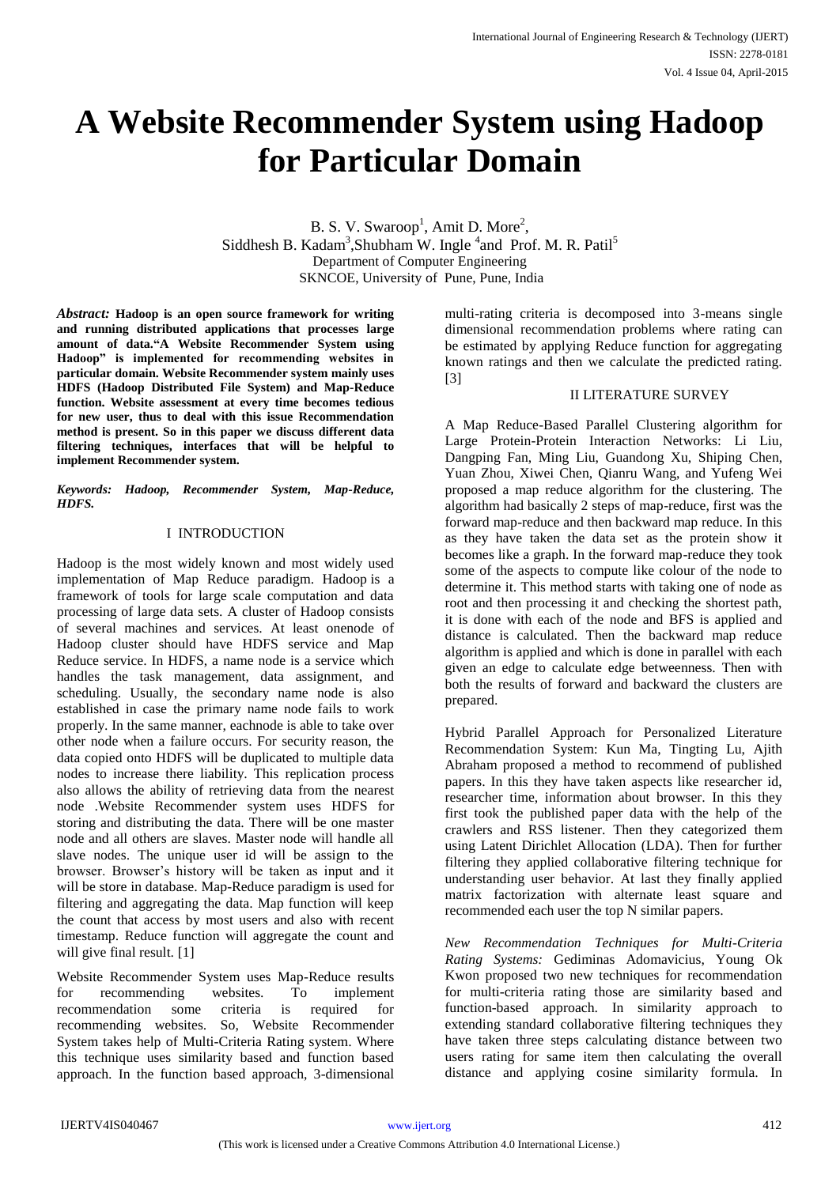# **A Website Recommender System using Hadoop for Particular Domain**

B. S. V. Swaroop<sup>1</sup>, Amit D. More<sup>2</sup>, Siddhesh B. Kadam<sup>3</sup>, Shubham W. Ingle <sup>4</sup>and Prof. M. R. Patil<sup>5</sup> Department of Computer Engineering SKNCOE, University of Pune, Pune, India

*Abstract:* **Hadoop is an open source framework for writing and running distributed applications that processes large amount of data."A Website Recommender System using Hadoop" is implemented for recommending websites in particular domain. Website Recommender system mainly uses HDFS (Hadoop Distributed File System) and Map-Reduce function. Website assessment at every time becomes tedious for new user, thus to deal with this issue Recommendation method is present. So in this paper we discuss different data filtering techniques, interfaces that will be helpful to implement Recommender system.**

*Keywords: Hadoop, Recommender System, Map-Reduce, HDFS.*

## I INTRODUCTION

Hadoop is the most widely known and most widely used implementation of Map Reduce paradigm. Hadoop is a framework of tools for large scale computation and data processing of large data sets. A cluster of Hadoop consists of several machines and services. At least onenode of Hadoop cluster should have HDFS service and Map Reduce service. In HDFS, a name node is a service which handles the task management, data assignment, and scheduling. Usually, the secondary name node is also established in case the primary name node fails to work properly. In the same manner, eachnode is able to take over other node when a failure occurs. For security reason, the data copied onto HDFS will be duplicated to multiple data nodes to increase there liability. This replication process also allows the ability of retrieving data from the nearest node .Website Recommender system uses HDFS for storing and distributing the data. There will be one master node and all others are slaves. Master node will handle all slave nodes. The unique user id will be assign to the browser. Browser's history will be taken as input and it will be store in database. Map-Reduce paradigm is used for filtering and aggregating the data. Map function will keep the count that access by most users and also with recent timestamp. Reduce function will aggregate the count and will give final result. [1]

Website Recommender System uses Map-Reduce results for recommending websites. To implement<br>recommendation some criteria is required for recommendation some criteria is required for recommending websites. So, Website Recommender System takes help of Multi-Criteria Rating system. Where this technique uses similarity based and function based approach. In the function based approach, 3-dimensional multi-rating criteria is decomposed into 3-means single dimensional recommendation problems where rating can be estimated by applying Reduce function for aggregating known ratings and then we calculate the predicted rating. [3]

# II LITERATURE SURVEY

A Map Reduce-Based Parallel Clustering algorithm for Large Protein-Protein Interaction Networks: Li Liu, Dangping Fan, Ming Liu, Guandong Xu, Shiping Chen, Yuan Zhou, Xiwei Chen, Qianru Wang, and Yufeng Wei proposed a map reduce algorithm for the clustering. The algorithm had basically 2 steps of map-reduce, first was the forward map-reduce and then backward map reduce. In this as they have taken the data set as the protein show it becomes like a graph. In the forward map-reduce they took some of the aspects to compute like colour of the node to determine it. This method starts with taking one of node as root and then processing it and checking the shortest path, it is done with each of the node and BFS is applied and distance is calculated. Then the backward map reduce algorithm is applied and which is done in parallel with each given an edge to calculate edge betweenness. Then with both the results of forward and backward the clusters are prepared.

Hybrid Parallel Approach for Personalized Literature Recommendation System: Kun Ma, Tingting Lu, Ajith Abraham proposed a method to recommend of published papers. In this they have taken aspects like researcher id, researcher time, information about browser. In this they first took the published paper data with the help of the crawlers and RSS listener. Then they categorized them using Latent Dirichlet Allocation (LDA). Then for further filtering they applied collaborative filtering technique for understanding user behavior. At last they finally applied matrix factorization with alternate least square and recommended each user the top N similar papers.

*New Recommendation Techniques for Multi-Criteria Rating Systems:* Gediminas Adomavicius, Young Ok Kwon proposed two new techniques for recommendation for multi-criteria rating those are similarity based and function-based approach. In similarity approach to extending standard collaborative filtering techniques they have taken three steps calculating distance between two users rating for same item then calculating the overall distance and applying cosine similarity formula. In